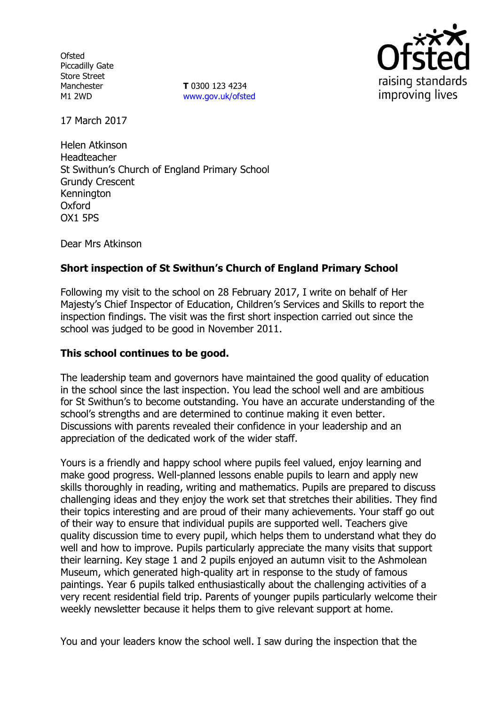**Ofsted** Piccadilly Gate Store Street Manchester M1 2WD

**T** 0300 123 4234 www.gov.uk/ofsted



17 March 2017

Helen Atkinson Headteacher St Swithun's Church of England Primary School Grundy Crescent Kennington **Oxford** OX1 5PS

Dear Mrs Atkinson

# **Short inspection of St Swithun's Church of England Primary School**

Following my visit to the school on 28 February 2017, I write on behalf of Her Majesty's Chief Inspector of Education, Children's Services and Skills to report the inspection findings. The visit was the first short inspection carried out since the school was judged to be good in November 2011.

## **This school continues to be good.**

The leadership team and governors have maintained the good quality of education in the school since the last inspection. You lead the school well and are ambitious for St Swithun's to become outstanding. You have an accurate understanding of the school's strengths and are determined to continue making it even better. Discussions with parents revealed their confidence in your leadership and an appreciation of the dedicated work of the wider staff.

Yours is a friendly and happy school where pupils feel valued, enjoy learning and make good progress. Well-planned lessons enable pupils to learn and apply new skills thoroughly in reading, writing and mathematics. Pupils are prepared to discuss challenging ideas and they enjoy the work set that stretches their abilities. They find their topics interesting and are proud of their many achievements. Your staff go out of their way to ensure that individual pupils are supported well. Teachers give quality discussion time to every pupil, which helps them to understand what they do well and how to improve. Pupils particularly appreciate the many visits that support their learning. Key stage 1 and 2 pupils enjoyed an autumn visit to the Ashmolean Museum, which generated high-quality art in response to the study of famous paintings. Year 6 pupils talked enthusiastically about the challenging activities of a very recent residential field trip. Parents of younger pupils particularly welcome their weekly newsletter because it helps them to give relevant support at home.

You and your leaders know the school well. I saw during the inspection that the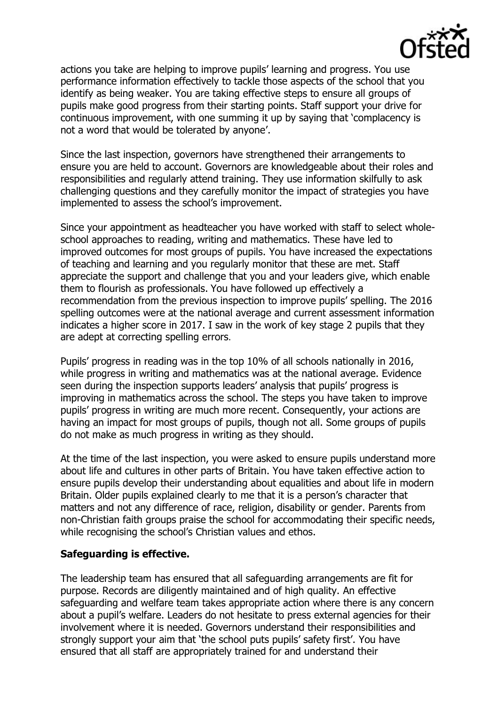

actions you take are helping to improve pupils' learning and progress. You use performance information effectively to tackle those aspects of the school that you identify as being weaker. You are taking effective steps to ensure all groups of pupils make good progress from their starting points. Staff support your drive for continuous improvement, with one summing it up by saying that 'complacency is not a word that would be tolerated by anyone'.

Since the last inspection, governors have strengthened their arrangements to ensure you are held to account. Governors are knowledgeable about their roles and responsibilities and regularly attend training. They use information skilfully to ask challenging questions and they carefully monitor the impact of strategies you have implemented to assess the school's improvement.

Since your appointment as headteacher you have worked with staff to select wholeschool approaches to reading, writing and mathematics. These have led to improved outcomes for most groups of pupils. You have increased the expectations of teaching and learning and you regularly monitor that these are met. Staff appreciate the support and challenge that you and your leaders give, which enable them to flourish as professionals. You have followed up effectively a recommendation from the previous inspection to improve pupils' spelling. The 2016 spelling outcomes were at the national average and current assessment information indicates a higher score in 2017. I saw in the work of key stage 2 pupils that they are adept at correcting spelling errors.

Pupils' progress in reading was in the top 10% of all schools nationally in 2016, while progress in writing and mathematics was at the national average. Evidence seen during the inspection supports leaders' analysis that pupils' progress is improving in mathematics across the school. The steps you have taken to improve pupils' progress in writing are much more recent. Consequently, your actions are having an impact for most groups of pupils, though not all. Some groups of pupils do not make as much progress in writing as they should.

At the time of the last inspection, you were asked to ensure pupils understand more about life and cultures in other parts of Britain. You have taken effective action to ensure pupils develop their understanding about equalities and about life in modern Britain. Older pupils explained clearly to me that it is a person's character that matters and not any difference of race, religion, disability or gender. Parents from non-Christian faith groups praise the school for accommodating their specific needs, while recognising the school's Christian values and ethos.

## **Safeguarding is effective.**

The leadership team has ensured that all safeguarding arrangements are fit for purpose. Records are diligently maintained and of high quality. An effective safeguarding and welfare team takes appropriate action where there is any concern about a pupil's welfare. Leaders do not hesitate to press external agencies for their involvement where it is needed. Governors understand their responsibilities and strongly support your aim that 'the school puts pupils' safety first'. You have ensured that all staff are appropriately trained for and understand their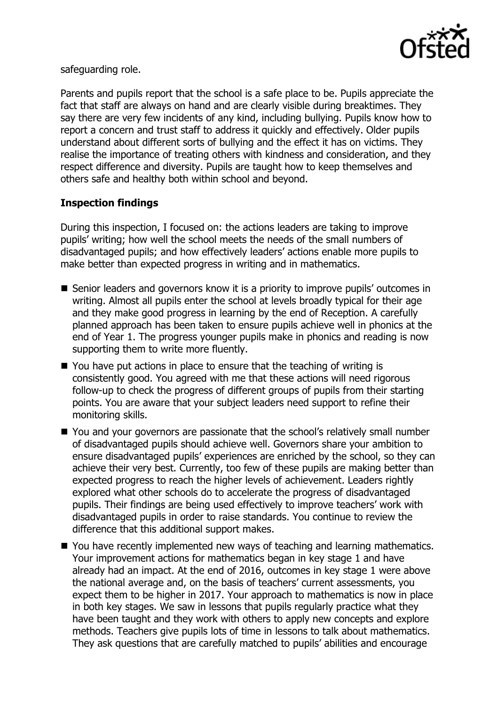

safeguarding role.

Parents and pupils report that the school is a safe place to be. Pupils appreciate the fact that staff are always on hand and are clearly visible during breaktimes. They say there are very few incidents of any kind, including bullying. Pupils know how to report a concern and trust staff to address it quickly and effectively. Older pupils understand about different sorts of bullying and the effect it has on victims. They realise the importance of treating others with kindness and consideration, and they respect difference and diversity. Pupils are taught how to keep themselves and others safe and healthy both within school and beyond.

# **Inspection findings**

During this inspection, I focused on: the actions leaders are taking to improve pupils' writing; how well the school meets the needs of the small numbers of disadvantaged pupils; and how effectively leaders' actions enable more pupils to make better than expected progress in writing and in mathematics.

- Senior leaders and governors know it is a priority to improve pupils' outcomes in writing. Almost all pupils enter the school at levels broadly typical for their age and they make good progress in learning by the end of Reception. A carefully planned approach has been taken to ensure pupils achieve well in phonics at the end of Year 1. The progress younger pupils make in phonics and reading is now supporting them to write more fluently.
- You have put actions in place to ensure that the teaching of writing is consistently good. You agreed with me that these actions will need rigorous follow-up to check the progress of different groups of pupils from their starting points. You are aware that your subject leaders need support to refine their monitoring skills.
- You and your governors are passionate that the school's relatively small number of disadvantaged pupils should achieve well. Governors share your ambition to ensure disadvantaged pupils' experiences are enriched by the school, so they can achieve their very best. Currently, too few of these pupils are making better than expected progress to reach the higher levels of achievement. Leaders rightly explored what other schools do to accelerate the progress of disadvantaged pupils. Their findings are being used effectively to improve teachers' work with disadvantaged pupils in order to raise standards. You continue to review the difference that this additional support makes.
- You have recently implemented new ways of teaching and learning mathematics. Your improvement actions for mathematics began in key stage 1 and have already had an impact. At the end of 2016, outcomes in key stage 1 were above the national average and, on the basis of teachers' current assessments, you expect them to be higher in 2017. Your approach to mathematics is now in place in both key stages. We saw in lessons that pupils regularly practice what they have been taught and they work with others to apply new concepts and explore methods. Teachers give pupils lots of time in lessons to talk about mathematics. They ask questions that are carefully matched to pupils' abilities and encourage